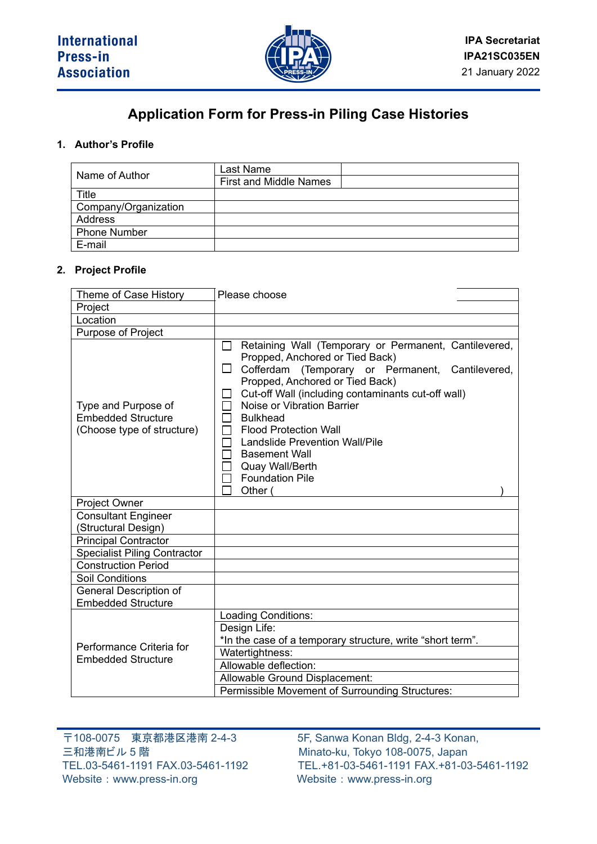#### Please choose

 $\Box$  $\Box$ 000000000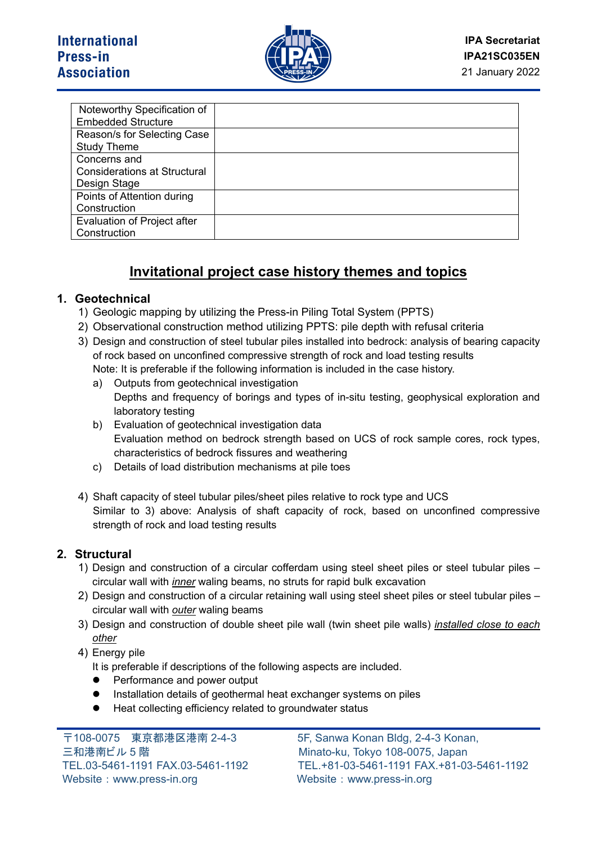

| Noteworthy Specification of         |  |
|-------------------------------------|--|
| <b>Embedded Structure</b>           |  |
| Reason/s for Selecting Case         |  |
| <b>Study Theme</b>                  |  |
| Concerns and                        |  |
| <b>Considerations at Structural</b> |  |
| Design Stage                        |  |
| Points of Attention during          |  |
| Construction                        |  |
| Evaluation of Project after         |  |
| Construction                        |  |

# **Invitational project case history themes and topics**

## **1. Geotechnical**

- 1) Geologic mapping by utilizing the Press-in Piling Total System (PPTS)
- 2) Observational construction method utilizing PPTS: pile depth with refusal criteria
- 3) Design and construction of steel tubular piles installed into bedrock: analysis of bearing capacity of rock based on unconfined compressive strength of rock and load testing results Note: It is preferable if the following information is included in the case history.
	- a) Outputs from geotechnical investigation Depths and frequency of borings and types of in-situ testing, geophysical exploration and laboratory testing
	- b) Evaluation of geotechnical investigation data Evaluation method on bedrock strength based on UCS of rock sample cores, rock types, characteristics of bedrock fissures and weathering
	- c) Details of load distribution mechanisms at pile toes
- 4) Shaft capacity of steel tubular piles/sheet piles relative to rock type and UCS Similar to 3) above: Analysis of shaft capacity of rock, based on unconfined compressive strength of rock and load testing results

### **2. Structural**

- 1) Design and construction of a circular cofferdam using steel sheet piles or steel tubular piles circular wall with *inner* waling beams, no struts for rapid bulk excavation
- 2) Design and construction of a circular retaining wall using steel sheet piles or steel tubular piles circular wall with *outer* waling beams
- 3) Design and construction of double sheet pile wall (twin sheet pile walls) *installed close to each other*
- 4) Energy pile
	- It is preferable if descriptions of the following aspects are included.
	- Performance and power output
	- Installation details of geothermal heat exchanger systems on piles
	- Heat collecting efficiency related to groundwater status

〒108-0075 東京都港区港南 2-4-3 5F, Sanwa Konan Bldg, 2-4-3 Konan, 三和港南ビル 5 階 Minato-ku, Tokyo 108-0075, Japan Website: [www.press-in.org](http://www.press-in.org/) Website: [www.press-in.org](http://www.press-in.org/)

TEL.03-5461-1191 FAX.03-5461-1192 TEL.+81-03-5461-1191 FAX.+81-03-5461-1192